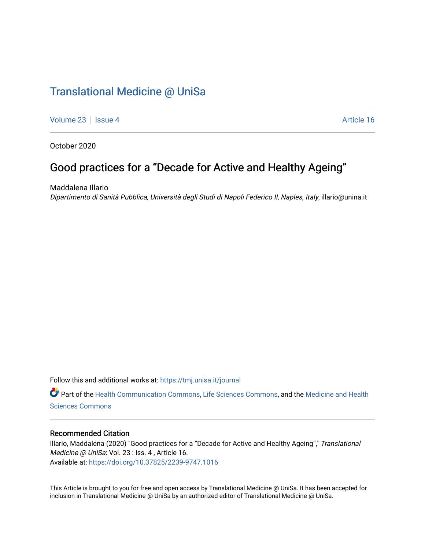## [Translational Medicine @ UniSa](https://tmj.unisa.it/journal)

[Volume 23](https://tmj.unisa.it/journal/vol23) | [Issue 4](https://tmj.unisa.it/journal/vol23/iss4) Article 16

October 2020

# Good practices for a "Decade for Active and Healthy Ageing"

Maddalena Illario

Dipartimento di Sanità Pubblica, Università degli Studi di Napoli Federico II, Naples, Italy, illario@unina.it

Follow this and additional works at: [https://tmj.unisa.it/journal](https://tmj.unisa.it/journal?utm_source=tmj.unisa.it%2Fjournal%2Fvol23%2Fiss4%2F16&utm_medium=PDF&utm_campaign=PDFCoverPages)

Part of the [Health Communication Commons](http://network.bepress.com/hgg/discipline/330?utm_source=tmj.unisa.it%2Fjournal%2Fvol23%2Fiss4%2F16&utm_medium=PDF&utm_campaign=PDFCoverPages), [Life Sciences Commons](http://network.bepress.com/hgg/discipline/1016?utm_source=tmj.unisa.it%2Fjournal%2Fvol23%2Fiss4%2F16&utm_medium=PDF&utm_campaign=PDFCoverPages), and the [Medicine and Health](http://network.bepress.com/hgg/discipline/648?utm_source=tmj.unisa.it%2Fjournal%2Fvol23%2Fiss4%2F16&utm_medium=PDF&utm_campaign=PDFCoverPages) [Sciences Commons](http://network.bepress.com/hgg/discipline/648?utm_source=tmj.unisa.it%2Fjournal%2Fvol23%2Fiss4%2F16&utm_medium=PDF&utm_campaign=PDFCoverPages) 

### Recommended Citation

Illario, Maddalena (2020) "Good practices for a "Decade for Active and Healthy Ageing"," Translational Medicine @ UniSa: Vol. 23 : Iss. 4, Article 16. Available at:<https://doi.org/10.37825/2239-9747.1016>

This Article is brought to you for free and open access by Translational Medicine @ UniSa. It has been accepted for inclusion in Translational Medicine @ UniSa by an authorized editor of Translational Medicine @ UniSa.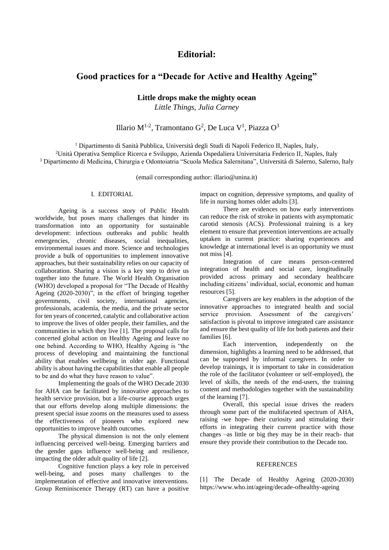### **Editorial:**

## **Good practices for a "Decade for Active and Healthy Ageing"**

**Little drops make the mighty ocean**

*Little Things, Julia Carney*

Illario M<sup>1-2</sup>, Tramontano G<sup>2</sup>, De Luca V<sup>1</sup>, Piazza O<sup>3</sup>

<sup>1</sup> Dipartimento di Sanità Pubblica, Università degli Studi di Napoli Federico II, Naples, Italy, <sup>2</sup>Unità Operativa Semplice Ricerca e Sviluppo, Azienda Ospedaliera Universitaria Federico II, Naples, Italy <sup>3</sup> Dipartimento di Medicina, Chirurgia e Odontoiatria "Scuola Medica Salernitana", Università di Salerno, Salerno, Italy

(email corresponding author: illario@unina.it)

#### I. EDITORIAL

Ageing is a success story of Public Health worldwide, but poses many challenges that hinder its transformation into an opportunity for sustainable development: infectious outbreaks and public health emergencies, chronic diseases, social inequalities, environmental issues and more. Science and technologies provide a bulk of opportunities to implement innovative approaches, but their sustainability relies on our capacity of collaboration. Sharing a vision is a key step to drive us together into the future. The World Health Organisation (WHO) developed a proposal for "The Decade of Healthy Ageing (2020-2030)", in the effort of bringing together governments, civil society, international agencies, professionals, academia, the media, and the private sector for ten years of concerted, catalytic and collaborative action to improve the lives of older people, their families, and the communities in which they live [1]. The proposal calls for concerted global action on Healthy Ageing and leave no one behind. According to WHO, Healthy Ageing is "the process of developing and maintaining the functional ability that enables wellbeing in older age. Functional ability is about having the capabilities that enable all people to be and do what they have reason to value".

Implementing the goals of the WHO Decade 2030 for AHA can be facilitated by innovative approaches to health service provision, but a life-course approach urges that our efforts develop along multiple dimensions: the present special issue zooms on the measures used to assess the effectiveness of pioneers who explored new opportunities to improve health outcomes.

The physical dimension is not the only element influencing perceived well-being. Emerging barriers and the gender gaps influence well-being and resilience, impacting the older adult quality of life [2].

Cognitive function plays a key role in perceived well-being, and poses many challenges to the implementation of effective and innovative interventions. Group Reminiscence Therapy (RT) can have a positive impact on cognition, depressive symptoms, and quality of life in nursing homes older adults [3].

There are evidences on how early interventions can reduce the risk of stroke in patients with asymptomatic carotid stenosis (ACS). Professional training is a key element to ensure that prevention interventions are actually uptaken in current practice: sharing experiences and knowledge at international level is an opportunity we must not miss [4].

Integration of care means person-centered integration of health and social care, longitudinally provided across primary and secondary healthcare including citizens' individual, social, economic and human resources [5].

Caregivers are key enablers in the adoption of the innovative approaches to integrated health and social service provision. Assessment of the caregivers' satisfaction is pivotal to improve integrated care assistance and ensure the best quality of life for both patients and their families [6].

Each intervention, independently on the dimension, highlights a learning need to be addressed, that can be supported by informal caregivers. In order to develop trainings, it is important to take in consideration the role of the facilitator (volunteer or self-employed), the level of skills, the needs of the end-users, the training content and methodologies together with the sustainability of the learning [7].

Overall, this special issue drives the readers through some part of the multifaceted spectrum of AHA, raising -we hope- their curiosity and stimulating their efforts in integrating their current practice with those changes –as little or big they may be in their reach- that ensure they provide their contribution to the Decade too.

#### **REFERENCES**

[1] The Decade of Healthy Ageing (2020-2030) https://www.who.int/ageing/decade-ofhealthy-ageing